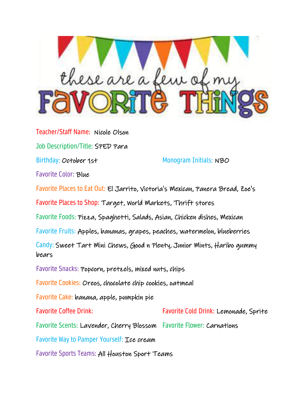

Teacher/Staff Name: Nicole Olson Job Description/Title: SPED Para Birthday: October 1st Monogram Initials: NBO Favorite Color: Blue Favorite Places to Eat Out: El Jarrito, Victoria's Mexican, Panera Bread, Zoe's Favorite Places to Shop: Target, World Markets, Thrift stores Favorite Foods: Pizza, Spaghetti, Salads, Asian, Chicken dishes, Mexican Favorite Fruits: Apples, bananas, grapes, peaches, watermelon, blueberries Candy: Sweet Tart Mini Chews, Good n Plenty, Junior Mints, Haribo gummy bears Favorite Snacks: Popcorn, pretzels, mixed nuts, chips Favorite Cookies: Oreos, chocolate chip cookies, oatmeal Favorite Cake: banana, apple, pumpkin pie Favorite Coffee Drink: Favorite Cold Drink: Lemonade, Sprite Favorite Scents: Lavender, Cherry Blossom Favorite Flower: Carnations Favorite Way to Pamper Yourself: Ice cream Favorite Sports Teams: All Houston Sport Teams